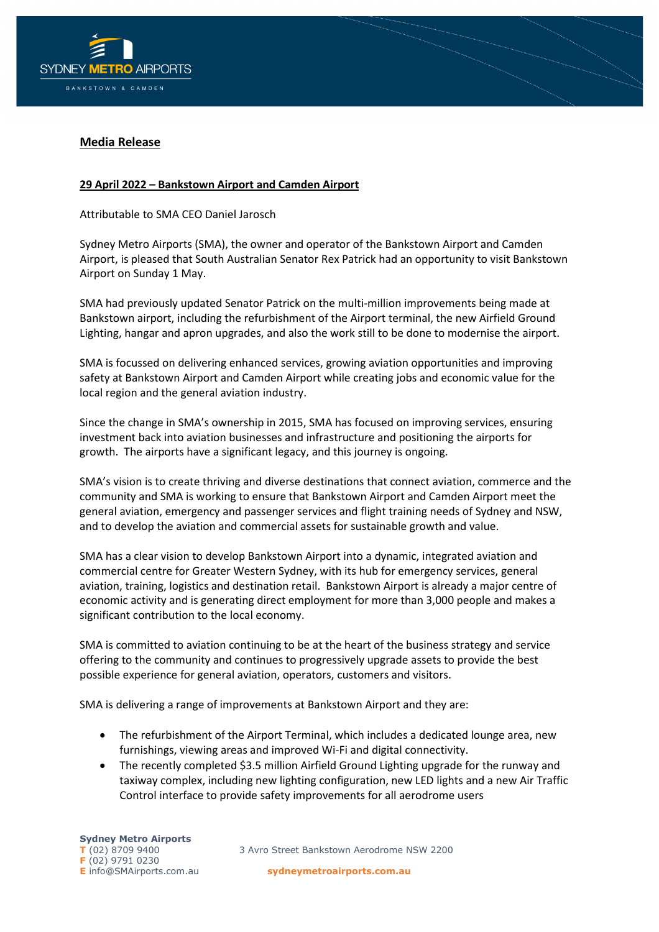

## **Media Release**

## **29 April 2022 – Bankstown Airport and Camden Airport**

Attributable to SMA CEO Daniel Jarosch

Sydney Metro Airports (SMA), the owner and operator of the Bankstown Airport and Camden Airport, is pleased that South Australian Senator Rex Patrick had an opportunity to visit Bankstown Airport on Sunday 1 May.

SMA had previously updated Senator Patrick on the multi-million improvements being made at Bankstown airport, including the refurbishment of the Airport terminal, the new Airfield Ground Lighting, hangar and apron upgrades, and also the work still to be done to modernise the airport.

SMA is focussed on delivering enhanced services, growing aviation opportunities and improving safety at Bankstown Airport and Camden Airport while creating jobs and economic value for the local region and the general aviation industry.

Since the change in SMA's ownership in 2015, SMA has focused on improving services, ensuring investment back into aviation businesses and infrastructure and positioning the airports for growth. The airports have a significant legacy, and this journey is ongoing.

SMA's vision is to create thriving and diverse destinations that connect aviation, commerce and the community and SMA is working to ensure that Bankstown Airport and Camden Airport meet the general aviation, emergency and passenger services and flight training needs of Sydney and NSW, and to develop the aviation and commercial assets for sustainable growth and value.

SMA has a clear vision to develop Bankstown Airport into a dynamic, integrated aviation and commercial centre for Greater Western Sydney, with its hub for emergency services, general aviation, training, logistics and destination retail. Bankstown Airport is already a major centre of economic activity and is generating direct employment for more than 3,000 people and makes a significant contribution to the local economy.

SMA is committed to aviation continuing to be at the heart of the business strategy and service offering to the community and continues to progressively upgrade assets to provide the best possible experience for general aviation, operators, customers and visitors.

SMA is delivering a range of improvements at Bankstown Airport and they are:

- The refurbishment of the Airport Terminal, which includes a dedicated lounge area, new furnishings, viewing areas and improved Wi-Fi and digital connectivity.
- The recently completed \$3.5 million Airfield Ground Lighting upgrade for the runway and taxiway complex, including new lighting configuration, new LED lights and a new Air Traffic Control interface to provide safety improvements for all aerodrome users

**T** (02) 8709 9400 3 Avro Street Bankstown Aerodrome NSW 2200

**E** info@SMAirports.com.au **sydneymetroairports.com.au**